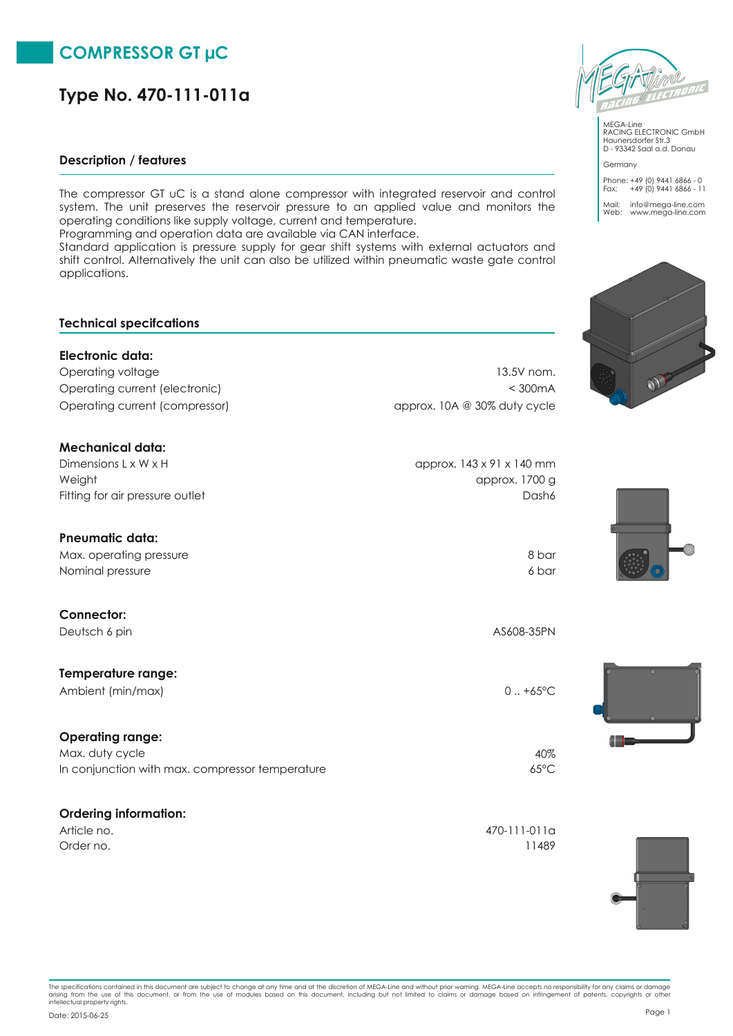# **COMPRESSOR GT µC**

# **Type No. 470-111-011a**

### **Description / features**

The compressor GT uC is a stand alone compressor with integrated reservoir and control system. The unit preserves the reservoir pressure to an applied value and monitors the operating conditions like supply voltage, current and temperature.

Programming and operation data are available via CAN interface.

Standard application is pressure supply for gear shift systems with external actuators and shift control. Alternatively the unit can also be utilized within pneumatic waste gate control applications.

### **Technical specifcations**

## **Electronic data:** Operating voltage 13.5V nom. Operating current (electronic) < 300mA Operating current (compressor) approx. 10A @ 30% duty cycle

| approx. 143 x 91 x 140 mm |
|---------------------------|
| approx. 1700 g            |
| Dash6                     |
|                           |

# **Pneumatic data:** Max. operating pressure 8 bar Nominal pressure 6 bar (1999) and the state of the state of the state of the state of the state of the state of the state of the state of the state of the state of the state of the state of the state of the state of the st

| Deutsch 6 pin      | AS608-35PN    |
|--------------------|---------------|
| Temperature range: |               |
| Ambient (min/max)  | $0.1 + 65$ °C |
|                    |               |

## **Operating range:** In conjunction with max. compressor temperature 65°C Max. duty cycle  $40\%$

## **Ordering information:**

**Connector:**

| Article no. | 470-111-011a |
|-------------|--------------|
| Order no.   | 11489        |



MEGA-Line RACING ELECTRONIC GmbH Haunersdorfer Str.3 D - 93342 Saal a.d. Donau Germany

Phone: +49 (0) 9441 6866 - 0 Fax: +49 (0) 9441 6866 - 11 Mail: info@mega-line.com Web: www.mega-line.com









The specifications contained in this document are subject to change at any time and at the discretion of MEGA-Line and without prior warning. MEGA-Line accepts no responsibility for any claims or damage<br>arising from the us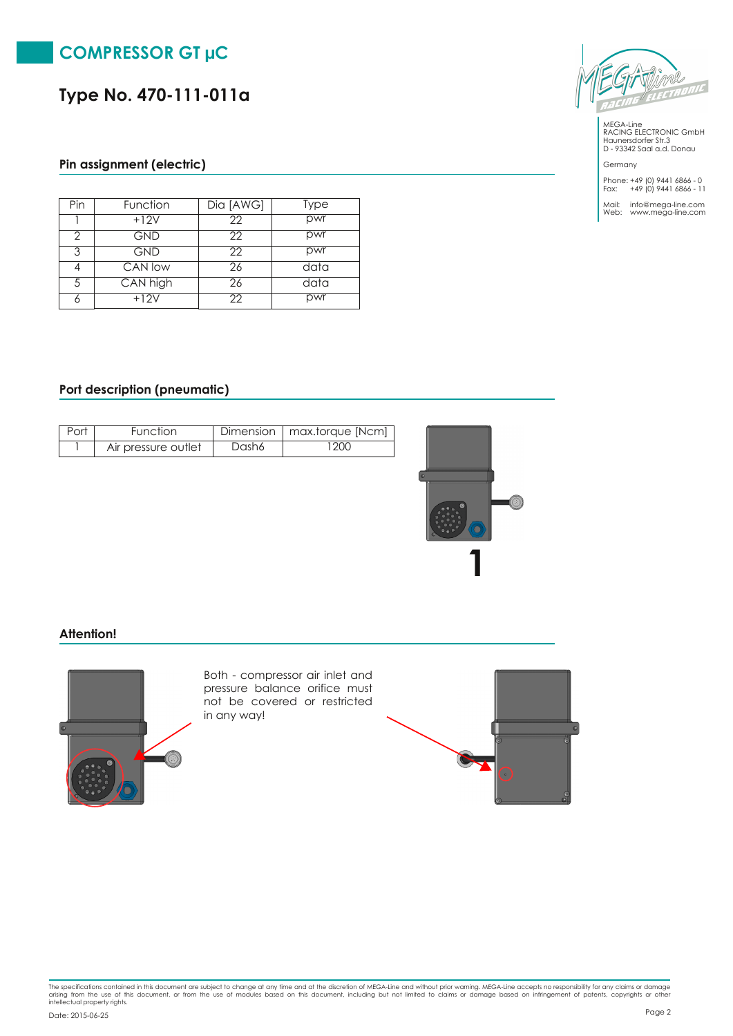

**Type No. 470-111-011a**

### **Pin assignment (electric)**

| Pin | Function   | Dia [AWG] | Type |
|-----|------------|-----------|------|
|     | $+12V$     | 22        | pwr  |
| っ   | <b>GND</b> | 22        | pwr  |
| 3   | <b>GND</b> | 22        | pwr  |
|     | CAN low    | 26        | data |
| 5   | CAN high   | 26        | data |
| 6   | $+12V$     | 22        | pwr  |

#### **Port description (pneumatic)**

| Port | Function            |       | Dimension   max.torque [Ncm] |
|------|---------------------|-------|------------------------------|
|      | Air pressure outlet | Dash6 | 200                          |



### **Attention!**



Both - compressor air inlet and pressure balance orifice must not be covered or restricted in any way!





MEGA-Line RACING ELECTRONIC GmbH Haunersdorfer Str.3 D - 93342 Saal a.d. Donau

Germany Phone: +49 (0) 9441 6866 - 0 Fax: +49 (0) 9441 6866 - 11

Mail: info@mega-line.com Web: www.mega-line.com

The specifications contained in this document are subject to change at any time and at the discretion of MEGA-Line and without prior warning. MEGA-Line accepts no responsibility for any claims or damage<br>arising from the us Page <sup>2</sup> Date: 2015-06-25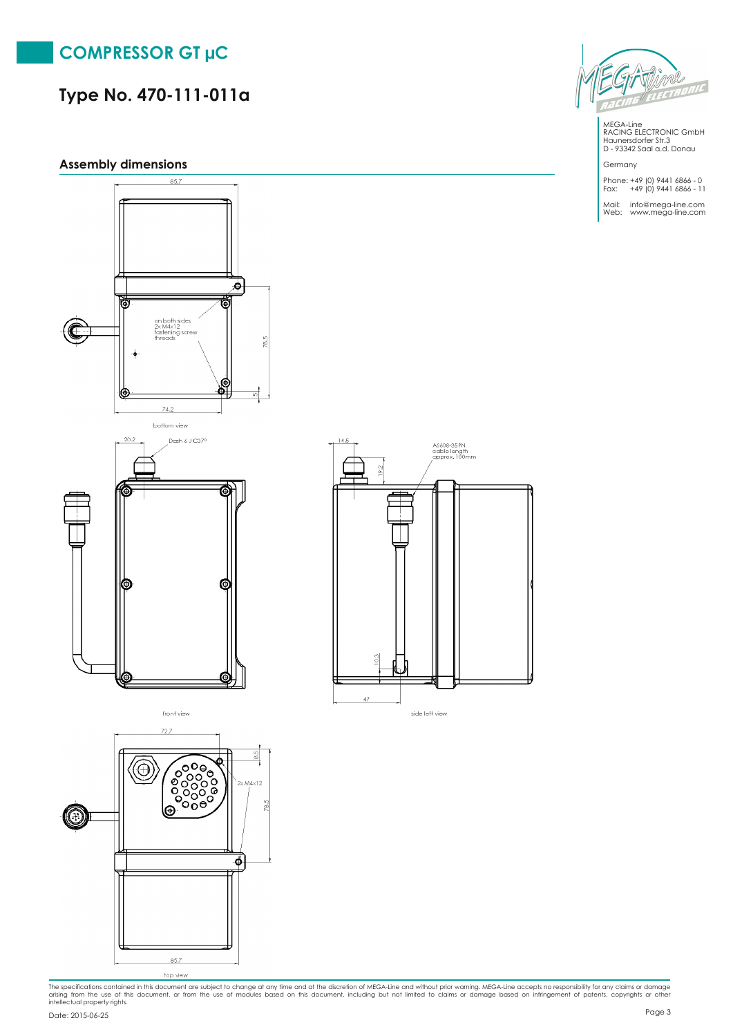

# **Type No. 470-111-011a**

### **Assembly dimensions**

 $\overline{\mathcal{P}}$ ē on both sides<br>2x M4x12<br>fastening screw<br>threads C  $78.5$ දි ◉ 74.2 bottom view 20.2 Dash 6 JIC379 ෯ € ίG





side left view



MEGA-Line RACING ELECTRONIC GmbH Haunersdorfer Str.3 D - 93342 Saal a.d. Donau

Germany Phone: +49 (0) 9441 6866 - 0 Fax: +49 (0) 9441 6866 - 11

Mail: info@mega-line.com Web: www.mega-line.com

The specifications contained in this document are subject to change at any time and at the discretion of MEGA-Line and without prior warning. MEGA-Line accepts no responsibility for any claims or damage<br>arising from the us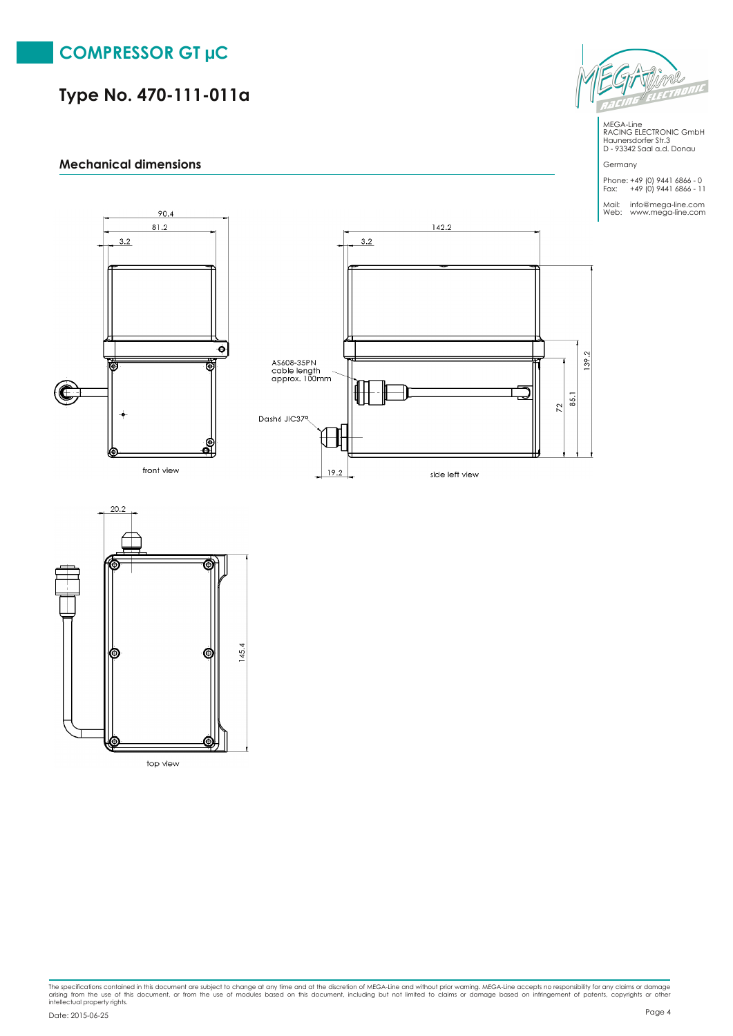# **COMPRESSOR GT µC**

# **Type No. 470-111-011a**

### **Mechanical dimensions**







The specifications contained in this document are subject to change at any time and at the discretion of MEGA-Line and without prior warning. MEGA-Line accepts no responsibility for any claims or damage<br>arising from the us



MEGA-Line RACING ELECTRONIC GmbH Haunersdorfer Str.3 D - 93342 Saal a.d. Donau

Germany Phone: +49 (0) 9441 6866 - 0 Fax: +49 (0) 9441 6866 - 11

Mail: info@mega-line.com Web: www.mega-line.com